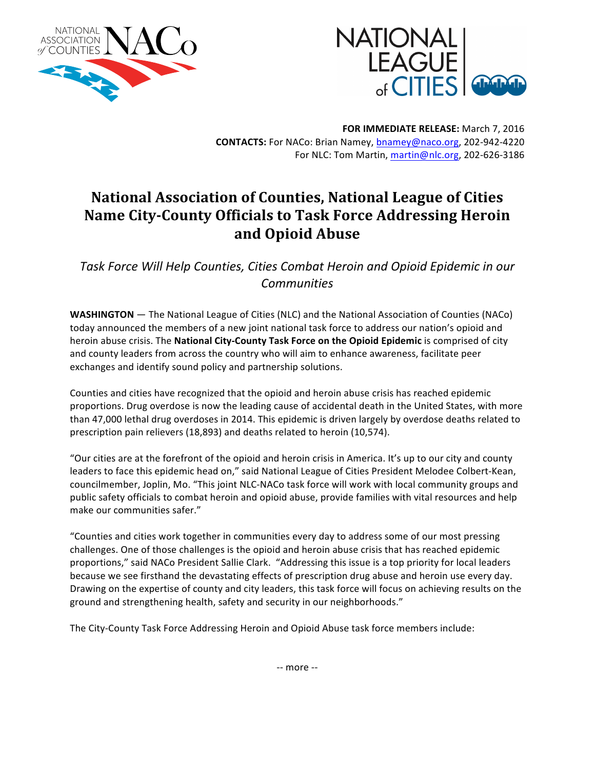



**FOR IMMEDIATE RELEASE:** March 7, 2016 CONTACTS: For NACo: Brian Namey, bnamey@naco.org, 202-942-4220 For NLC: Tom Martin, [martin@nlc.org](mailto:martin@nlc.org), 202-626-3186

## **National Association of Counties, National League of Cities Name City-County Officials to Task Force Addressing Heroin and Opioid Abuse**

*Task Force Will Help Counties, Cities Combat Heroin and Opioid Epidemic in our Communities*

**WASHINGTON** — The National League of Cities (NLC) and the National Association of Counties (NACo) today announced the members of a new joint national task force to address our nation's opioid and heroin abuse crisis. The **National City-County Task Force on the Opioid Epidemic** is comprised of city and county leaders from across the country who will aim to enhance awareness, facilitate peer exchanges and identify sound policy and partnership solutions.

Counties and cities have recognized that the opioid and heroin abuse crisis has reached epidemic proportions. Drug overdose is now the leading cause of accidental death in the United States, with more than 47,000 lethal drug overdoses in 2014. This epidemic is driven largely by overdose deaths related to prescription pain relievers (18,893) and deaths related to heroin (10,574).

"Our cities are at the forefront of the opioid and heroin crisis in America. It's up to our city and county leaders to face this epidemic head on," said National League of Cities President Melodee Colbert-Kean, councilmember, Joplin, Mo. "This joint NLC-NACo task force will work with local community groups and public safety officials to combat heroin and opioid abuse, provide families with vital resources and help make our communities safer."

"Counties and cities work together in communities every day to address some of our most pressing challenges. One of those challenges is the opioid and heroin abuse crisis that has reached epidemic proportions," said NACo President Sallie Clark. "Addressing this issue is a top priority for local leaders because we see firsthand the devastating effects of prescription drug abuse and heroin use every day. Drawing on the expertise of county and city leaders, this task force will focus on achieving results on the ground and strengthening health, safety and security in our neighborhoods."

The City-County Task Force Addressing Heroin and Opioid Abuse task force members include: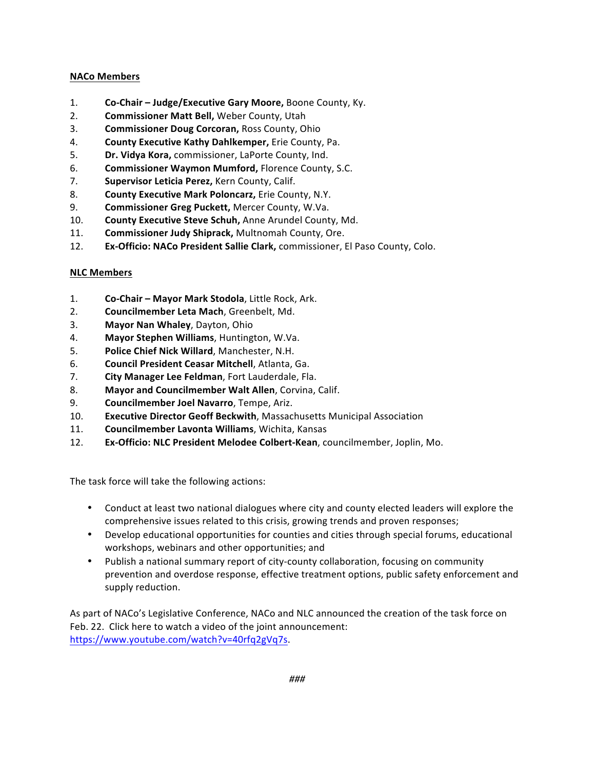## **NACo Members**

- 1. **Co-Chair – Judge/Executive Gary Moore,** Boone County, Ky.
- 2. **Commissioner Matt Bell,** Weber County, Utah
- 3. **Commissioner Doug Corcoran, Ross County, Ohio**
- 4. **County Executive Kathy Dahlkemper,** Erie County, Pa.
- 5. **Dr. Vidya Kora,** commissioner, LaPorte County, Ind.
- 6. **Commissioner Waymon Mumford, Florence County, S.C.**
- 7. **Supervisor Leticia Perez, Kern County, Calif.**
- 8. **County Executive Mark Poloncarz, Erie County, N.Y.**
- 9. **Commissioner Greg Puckett, Mercer County, W.Va.**
- 10. **County Executive Steve Schuh,** Anne Arundel County, Md.
- 11. **Commissioner Judy Shiprack,** Multnomah County, Ore.
- 12. **Ex-Officio: NACo President Sallie Clark,** commissioner, El Paso County, Colo.

## **NLC Members**

- 1. **Co-Chair Mayor Mark Stodola**, Little Rock, Ark.
- 2. **Councilmember Leta Mach**, Greenbelt, Md.
- 3. **Mayor Nan Whaley**, Dayton, Ohio
- 4. Mayor Stephen Williams, Huntington, W.Va.
- 5. **Police Chief Nick Willard**, Manchester, N.H.
- 6. **Council President Ceasar Mitchell**, Atlanta, Ga.
- 7. **City Manager Lee Feldman**, Fort Lauderdale, Fla.
- 8. Mayor and Councilmember Walt Allen, Corvina, Calif.
- 9. **Councilmember Joel Navarro**, Tempe, Ariz.
- 10. **Executive Director Geoff Beckwith**, Massachusetts Municipal Association
- 11. **Councilmember Lavonta Williams**, Wichita, Kansas
- 12. **Ex-Officio: NLC President Melodee Colbert-Kean**, councilmember, Joplin, Mo.

The task force will take the following actions:

- Conduct at least two national dialogues where city and county elected leaders will explore the comprehensive issues related to this crisis, growing trends and proven responses;
- Develop educational opportunities for counties and cities through special forums, educational workshops, webinars and other opportunities; and
- Publish a national summary report of city-county collaboration, focusing on community prevention and overdose response, effective treatment options, public safety enforcement and supply reduction.

As part of NACo's Legislative Conference, NACo and NLC announced the creation of the task force on Feb. 22. Click here to watch a video of the joint announcement: <https://www.youtube.com/watch?v=40rfq2gVq7s>.